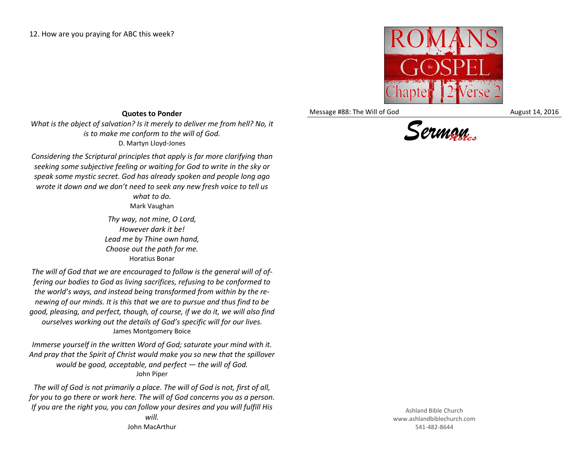

Message #88: The Will of God August 14, 2016



## **Quotes to Ponder**

*What is the object of salvation? Is it merely to deliver me from hell? No, it is to make me conform to the will of God.* D. Martyn Lloyd-Jones

*Considering the Scriptural principles that apply is far more clarifying than seeking some subjective feeling or waiting for God to write in the sky or speak some mystic secret. God has already spoken and people long ago wrote it down and we don't need to seek any new fresh voice to tell us* 

> *what to do.* Mark Vaughan

*Thy way, not mine, O Lord, However dark it be! Lead me by Thine own hand, Choose out the path for me.* Horatius Bonar

*The will of God that we are encouraged to follow is the general will of offering our bodies to God as living sacrifices, refusing to be conformed to the world's ways, and instead being transformed from within by the renewing of our minds. It is this that we are to pursue and thus find to be good, pleasing, and perfect, though, of course, if we do it, we will also find ourselves working out the details of God's specific will for our lives.* James Montgomery Boice

*Immerse yourself in the written Word of God; saturate your mind with it. And pray that the Spirit of Christ would make you so new that the spillover would be good, acceptable, and perfect — the will of God.* John Piper

*The will of God is not primarily a place. The will of God is not, first of all, for you to go there or work here. The will of God concerns you as a person. If you are the right you, you can follow your desires and you will fulfill His will.*

John MacArthur

Ashland Bible Church www.ashlandbiblechurch.com 541-482-8644